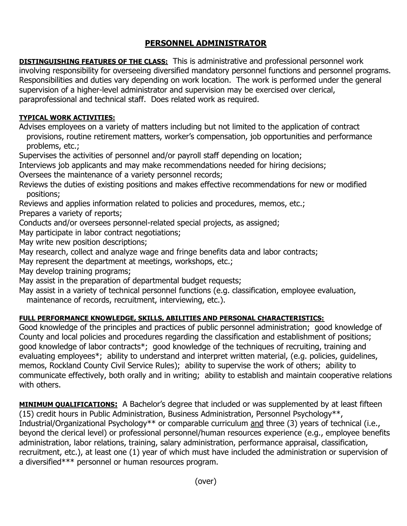## **PERSONNEL ADMINISTRATOR**

**DISTINGUISHING FEATURES OF THE CLASS:** This is administrative and professional personnel work involving responsibility for overseeing diversified mandatory personnel functions and personnel programs. Responsibilities and duties vary depending on work location. The work is performed under the general supervision of a higher-level administrator and supervision may be exercised over clerical, paraprofessional and technical staff. Does related work as required.

## **TYPICAL WORK ACTIVITIES:**

Advises employees on a variety of matters including but not limited to the application of contract provisions, routine retirement matters, worker's compensation, job opportunities and performance problems, etc.;

Supervises the activities of personnel and/or payroll staff depending on location;

Interviews job applicants and may make recommendations needed for hiring decisions;

Oversees the maintenance of a variety personnel records;

Reviews the duties of existing positions and makes effective recommendations for new or modified positions;

Reviews and applies information related to policies and procedures, memos, etc.;

Prepares a variety of reports;

Conducts and/or oversees personnel-related special projects, as assigned;

May participate in labor contract negotiations;

May write new position descriptions;

May research, collect and analyze wage and fringe benefits data and labor contracts;

May represent the department at meetings, workshops, etc.;

May develop training programs;

May assist in the preparation of departmental budget requests;

May assist in a variety of technical personnel functions (e.g. classification, employee evaluation,

maintenance of records, recruitment, interviewing, etc.).

## **FULL PERFORMANCE KNOWLEDGE, SKILLS, ABILITIES AND PERSONAL CHARACTERISTICS:**

Good knowledge of the principles and practices of public personnel administration; good knowledge of County and local policies and procedures regarding the classification and establishment of positions; good knowledge of labor contracts\*; good knowledge of the techniques of recruiting, training and evaluating employees\*; ability to understand and interpret written material, (e.g. policies, guidelines, memos, Rockland County Civil Service Rules); ability to supervise the work of others; ability to communicate effectively, both orally and in writing; ability to establish and maintain cooperative relations with others.

**MINIMUM QUALIFICATIONS:** A Bachelor's degree that included or was supplemented by at least fifteen (15) credit hours in Public Administration, Business Administration, Personnel Psychology\*\*, Industrial/Organizational Psychology\*\* or comparable curriculum and three (3) years of technical (i.e., beyond the clerical level) or professional personnel/human resources experience (e.g., employee benefits administration, labor relations, training, salary administration, performance appraisal, classification, recruitment, etc.), at least one (1) year of which must have included the administration or supervision of a diversified\*\*\* personnel or human resources program.